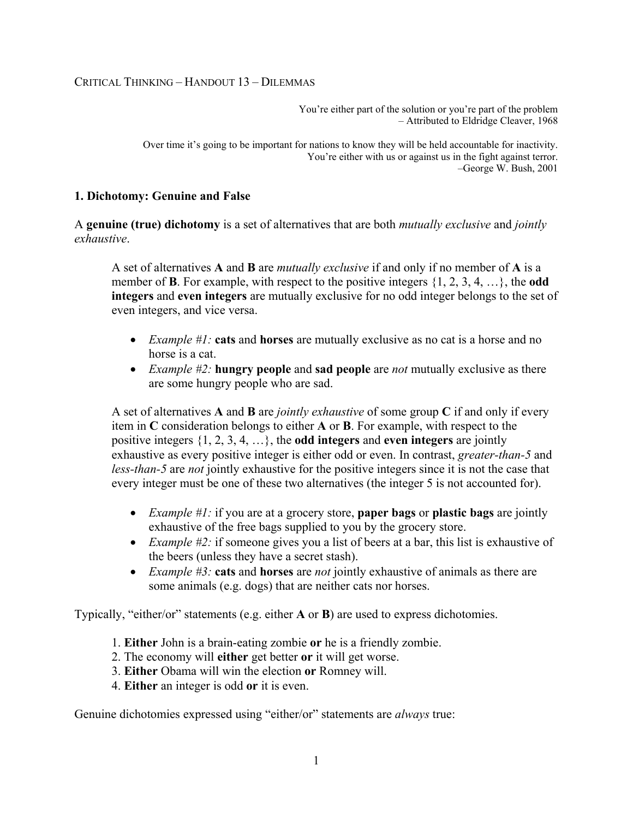### CRITICAL THINKING – HANDOUT 13 – DILEMMAS

You're either part of the solution or you're part of the problem – Attributed to Eldridge Cleaver, 1968

Over time it's going to be important for nations to know they will be held accountable for inactivity. You're either with us or against us in the fight against terror. –George W. Bush, 2001

### **1. Dichotomy: Genuine and False**

A **genuine (true) dichotomy** is a set of alternatives that are both *mutually exclusive* and *jointly exhaustive*.

A set of alternatives **A** and **B** are *mutually exclusive* if and only if no member of **A** is a member of **B**. For example, with respect to the positive integers {1, 2, 3, 4, …}, the **odd integers** and **even integers** are mutually exclusive for no odd integer belongs to the set of even integers, and vice versa.

- *Example #1:* **cats** and **horses** are mutually exclusive as no cat is a horse and no horse is a cat.
- *Example #2:* **hungry people** and **sad people** are *not* mutually exclusive as there are some hungry people who are sad.

A set of alternatives **A** and **B** are *jointly exhaustive* of some group **C** if and only if every item in **C** consideration belongs to either **A** or **B**. For example, with respect to the positive integers {1, 2, 3, 4, …}, the **odd integers** and **even integers** are jointly exhaustive as every positive integer is either odd or even. In contrast, *greater-than-5* and *less-than-5* are *not* jointly exhaustive for the positive integers since it is not the case that every integer must be one of these two alternatives (the integer 5 is not accounted for).

- *Example #1:* if you are at a grocery store, **paper bags** or **plastic bags** are jointly exhaustive of the free bags supplied to you by the grocery store.
- *Example #2:* if someone gives you a list of beers at a bar, this list is exhaustive of the beers (unless they have a secret stash).
- *Example #3:* **cats** and **horses** are *not* jointly exhaustive of animals as there are some animals (e.g. dogs) that are neither cats nor horses.

Typically, "either/or" statements (e.g. either **A** or **B**) are used to express dichotomies.

- 1. **Either** John is a brain-eating zombie **or** he is a friendly zombie.
- 2. The economy will **either** get better **or** it will get worse.
- 3. **Either** Obama will win the election **or** Romney will.
- 4. **Either** an integer is odd **or** it is even.

Genuine dichotomies expressed using "either/or" statements are *always* true: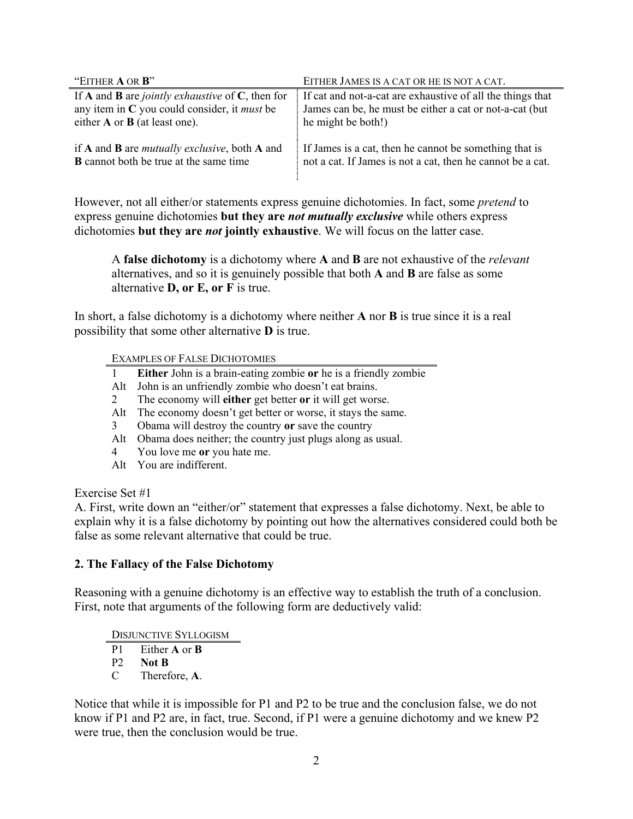| "EITHER <b>A</b> OR <b>B</b> "                                           | EITHER JAMES IS A CAT OR HE IS NOT A CAT.                  |
|--------------------------------------------------------------------------|------------------------------------------------------------|
| If <b>A</b> and <b>B</b> are <i>jointly exhaustive</i> of $C$ , then for | If cat and not-a-cat are exhaustive of all the things that |
| any item in $C$ you could consider, it <i>must</i> be                    | James can be, he must be either a cat or not-a-cat (but)   |
| either $A$ or $B$ (at least one).                                        | he might be both!)                                         |
| if A and B are <i>mutually exclusive</i> , both A and                    | If James is a cat, then he cannot be something that is     |
| <b>B</b> cannot both be true at the same time                            | not a cat. If James is not a cat, then he cannot be a cat. |

However, not all either/or statements express genuine dichotomies. In fact, some *pretend* to express genuine dichotomies **but they are** *not mutually exclusive* while others express dichotomies **but they are** *not* **jointly exhaustive**. We will focus on the latter case.

A **false dichotomy** is a dichotomy where **A** and **B** are not exhaustive of the *relevant*  alternatives, and so it is genuinely possible that both **A** and **B** are false as some alternative **D, or E, or F** is true.

In short, a false dichotomy is a dichotomy where neither **A** nor **B** is true since it is a real possibility that some other alternative **D** is true.

EXAMPLES OF FALSE DICHOTOMIES

- 1 **Either** John is a brain-eating zombie **or** he is a friendly zombie
- Alt John is an unfriendly zombie who doesn't eat brains.
- 2 The economy will **either** get better **or** it will get worse.
- Alt The economy doesn't get better or worse, it stays the same.
- 3 Obama will destroy the country **or** save the country
- Alt Obama does neither; the country just plugs along as usual.
- 4 You love me **or** you hate me.
- Alt You are indifferent.

## Exercise Set #1

A. First, write down an "either/or" statement that expresses a false dichotomy. Next, be able to explain why it is a false dichotomy by pointing out how the alternatives considered could both be false as some relevant alternative that could be true.

## **2. The Fallacy of the False Dichotomy**

Reasoning with a genuine dichotomy is an effective way to establish the truth of a conclusion. First, note that arguments of the following form are deductively valid:

DISJUNCTIVE SYLLOGISM

- P1 Either **A** or **B**
- P2 **Not B**
- C Therefore, **A**.

Notice that while it is impossible for P1 and P2 to be true and the conclusion false, we do not know if P1 and P2 are, in fact, true. Second, if P1 were a genuine dichotomy and we knew P2 were true, then the conclusion would be true.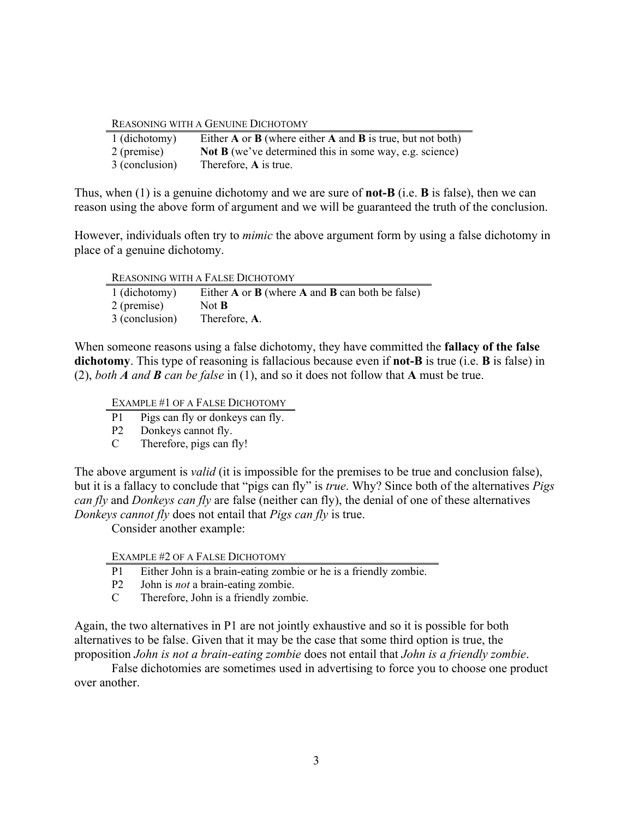#### REASONING WITH A GENUINE DICHOTOMY

| 1 (dichotomy)  | Either $A$ or $B$ (where either $A$ and $B$ is true, but not both) |
|----------------|--------------------------------------------------------------------|
| 2 (premise)    | <b>Not B</b> (we've determined this in some way, e.g. science)     |
| 3 (conclusion) | Therefore, A is true.                                              |

Thus, when (1) is a genuine dichotomy and we are sure of **not-B** (i.e. **B** is false), then we can reason using the above form of argument and we will be guaranteed the truth of the conclusion.

However, individuals often try to *mimic* the above argument form by using a false dichotomy in place of a genuine dichotomy.

| <b>REASONING WITH A FALSE DICHOTOMY</b> |                                                         |
|-----------------------------------------|---------------------------------------------------------|
| 1 (dichotomy)                           | Either $A$ or $B$ (where $A$ and $B$ can both be false) |
| 2 (premise)                             | Not $B$                                                 |
| 3 (conclusion)                          | Therefore, A.                                           |

When someone reasons using a false dichotomy, they have committed the **fallacy of the false dichotomy**. This type of reasoning is fallacious because even if **not-B** is true (i.e. **B** is false) in (2), *both A and B can be false* in (1), and so it does not follow that **A** must be true.

EXAMPLE #1 OF A FALSE DICHOTOMY

- P1 Pigs can fly or donkeys can fly.
- P2 Donkeys cannot fly.
- C Therefore, pigs can fly!

The above argument is *valid* (it is impossible for the premises to be true and conclusion false), but it is a fallacy to conclude that "pigs can fly" is *true*. Why? Since both of the alternatives *Pigs can fly* and *Donkeys can fly* are false (neither can fly), the denial of one of these alternatives *Donkeys cannot fly* does not entail that *Pigs can fly* is true.

Consider another example:

EXAMPLE #2 OF A FALSE DICHOTOMY

- P1 Either John is a brain-eating zombie or he is a friendly zombie.
- P2 John is *not* a brain-eating zombie.
- C Therefore, John is a friendly zombie.

Again, the two alternatives in P1 are not jointly exhaustive and so it is possible for both alternatives to be false. Given that it may be the case that some third option is true, the proposition *John is not a brain-eating zombie* does not entail that *John is a friendly zombie*.

False dichotomies are sometimes used in advertising to force you to choose one product over another.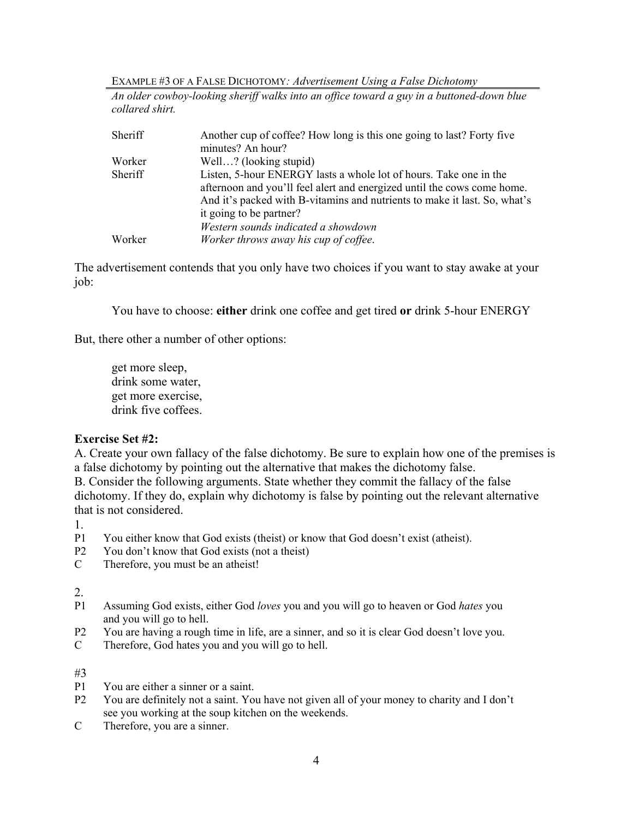EXAMPLE #3 OF A FALSE DICHOTOMY*: Advertisement Using a False Dichotomy*

*An older cowboy-looking sheriff walks into an office toward a guy in a buttoned-down blue collared shirt.*

| Sheriff | Another cup of coffee? How long is this one going to last? Forty five     |
|---------|---------------------------------------------------------------------------|
|         | minutes? An hour?                                                         |
| Worker  | Well? (looking stupid)                                                    |
| Sheriff | Listen, 5-hour ENERGY lasts a whole lot of hours. Take one in the         |
|         | afternoon and you'll feel alert and energized until the cows come home.   |
|         | And it's packed with B-vitamins and nutrients to make it last. So, what's |
|         | it going to be partner?                                                   |
|         | Western sounds indicated a showdown                                       |
| Worker  | Worker throws away his cup of coffee.                                     |

The advertisement contends that you only have two choices if you want to stay awake at your job:

You have to choose: **either** drink one coffee and get tired **or** drink 5-hour ENERGY

But, there other a number of other options:

get more sleep, drink some water, get more exercise, drink five coffees.

## **Exercise Set #2:**

A. Create your own fallacy of the false dichotomy. Be sure to explain how one of the premises is a false dichotomy by pointing out the alternative that makes the dichotomy false.

B. Consider the following arguments. State whether they commit the fallacy of the false dichotomy. If they do, explain why dichotomy is false by pointing out the relevant alternative that is not considered.

1.

- P1 You either know that God exists (theist) or know that God doesn't exist (atheist).
- P2 You don't know that God exists (not a theist)<br>C Therefore, you must be an atheist!
- Therefore, you must be an atheist!

2.

- P1 Assuming God exists, either God *loves* you and you will go to heaven or God *hates* you and you will go to hell.
- P2 You are having a rough time in life, are a sinner, and so it is clear God doesn't love you.
- C Therefore, God hates you and you will go to hell.

#3

- P1 You are either a sinner or a saint.
- P2 You are definitely not a saint. You have not given all of your money to charity and I don't see you working at the soup kitchen on the weekends.
- C Therefore, you are a sinner.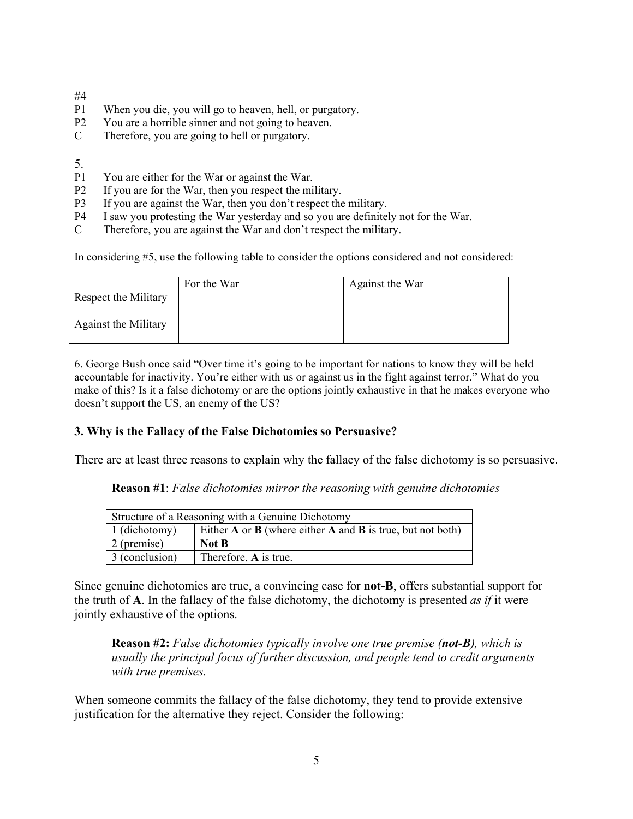- #4
- P1 When you die, you will go to heaven, hell, or purgatory.
- P2 You are a horrible sinner and not going to heaven.
- C Therefore, you are going to hell or purgatory.

5.

- P1 You are either for the War or against the War.
- P2 If you are for the War, then you respect the military.
- P3 If you are against the War, then you don't respect the military.
- P4 I saw you protesting the War yesterday and so you are definitely not for the War.
- C Therefore, you are against the War and don't respect the military.

In considering #5, use the following table to consider the options considered and not considered:

|                             | For the War | Against the War |
|-----------------------------|-------------|-----------------|
| Respect the Military        |             |                 |
| <b>Against the Military</b> |             |                 |

6. George Bush once said "Over time it's going to be important for nations to know they will be held accountable for inactivity. You're either with us or against us in the fight against terror." What do you make of this? Is it a false dichotomy or are the options jointly exhaustive in that he makes everyone who doesn't support the US, an enemy of the US?

### **3. Why is the Fallacy of the False Dichotomies so Persuasive?**

There are at least three reasons to explain why the fallacy of the false dichotomy is so persuasive.

**Reason #1**: *False dichotomies mirror the reasoning with genuine dichotomies*

| Structure of a Reasoning with a Genuine Dichotomy |                                                                    |
|---------------------------------------------------|--------------------------------------------------------------------|
| 1 (dichotomy)                                     | Either $A$ or $B$ (where either $A$ and $B$ is true, but not both) |
| 2 (premise)                                       | Not B                                                              |
| 3 (conclusion)                                    | Therefore, A is true.                                              |

Since genuine dichotomies are true, a convincing case for **not-B**, offers substantial support for the truth of **A**. In the fallacy of the false dichotomy, the dichotomy is presented *as if* it were jointly exhaustive of the options.

**Reason #2:** *False dichotomies typically involve one true premise (not-B), which is usually the principal focus of further discussion, and people tend to credit arguments with true premises.*

When someone commits the fallacy of the false dichotomy, they tend to provide extensive justification for the alternative they reject. Consider the following: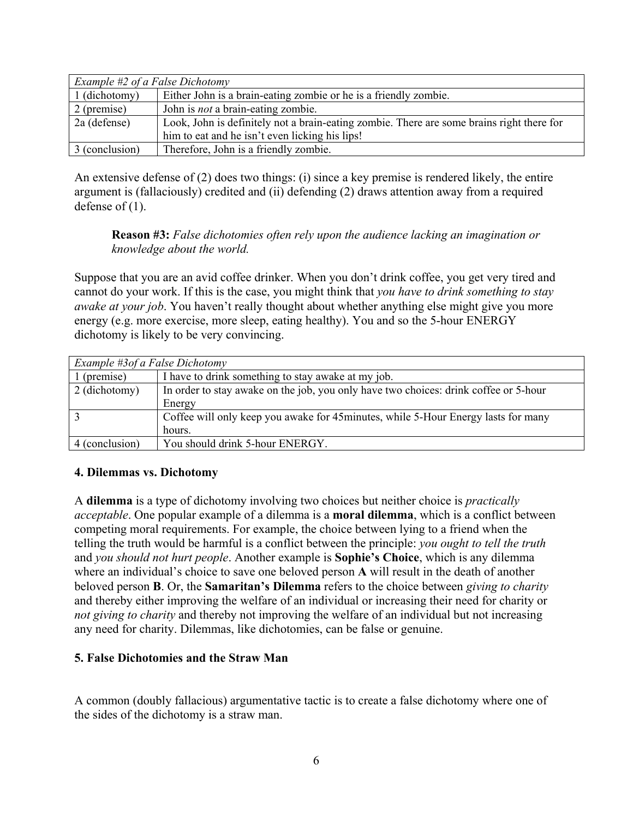| Example #2 of a False Dichotomy |                                                                                           |
|---------------------------------|-------------------------------------------------------------------------------------------|
| 1 (dichotomy)                   | Either John is a brain-eating zombie or he is a friendly zombie.                          |
| 2 (premise)                     | John is <i>not</i> a brain-eating zombie.                                                 |
| 2a (defense)                    | Look, John is definitely not a brain-eating zombie. There are some brains right there for |
|                                 | him to eat and he isn't even licking his lips!                                            |
| 3 (conclusion)                  | Therefore, John is a friendly zombie.                                                     |

An extensive defense of (2) does two things: (i) since a key premise is rendered likely, the entire argument is (fallaciously) credited and (ii) defending (2) draws attention away from a required defense of (1).

## **Reason #3:** *False dichotomies often rely upon the audience lacking an imagination or knowledge about the world.*

Suppose that you are an avid coffee drinker. When you don't drink coffee, you get very tired and cannot do your work. If this is the case, you might think that *you have to drink something to stay awake at your job*. You haven't really thought about whether anything else might give you more energy (e.g. more exercise, more sleep, eating healthy). You and so the 5-hour ENERGY dichotomy is likely to be very convincing.

| Example #3of a False Dichotomy |                                                                                      |
|--------------------------------|--------------------------------------------------------------------------------------|
| (premise)                      | I have to drink something to stay awake at my job.                                   |
| 2 (dichotomy)                  | In order to stay awake on the job, you only have two choices: drink coffee or 5-hour |
|                                | Energy                                                                               |
|                                | Coffee will only keep you awake for 45 minutes, while 5-Hour Energy lasts for many   |
|                                | hours.                                                                               |
| 4 (conclusion)                 | You should drink 5-hour ENERGY.                                                      |

## **4. Dilemmas vs. Dichotomy**

A **dilemma** is a type of dichotomy involving two choices but neither choice is *practically acceptable*. One popular example of a dilemma is a **moral dilemma**, which is a conflict between competing moral requirements. For example, the choice between lying to a friend when the telling the truth would be harmful is a conflict between the principle: *you ought to tell the truth*  and *you should not hurt people*. Another example is **Sophie's Choice**, which is any dilemma where an individual's choice to save one beloved person **A** will result in the death of another beloved person **B**. Or, the **Samaritan's Dilemma** refers to the choice between *giving to charity* and thereby either improving the welfare of an individual or increasing their need for charity or *not giving to charity* and thereby not improving the welfare of an individual but not increasing any need for charity. Dilemmas, like dichotomies, can be false or genuine.

## **5. False Dichotomies and the Straw Man**

A common (doubly fallacious) argumentative tactic is to create a false dichotomy where one of the sides of the dichotomy is a straw man.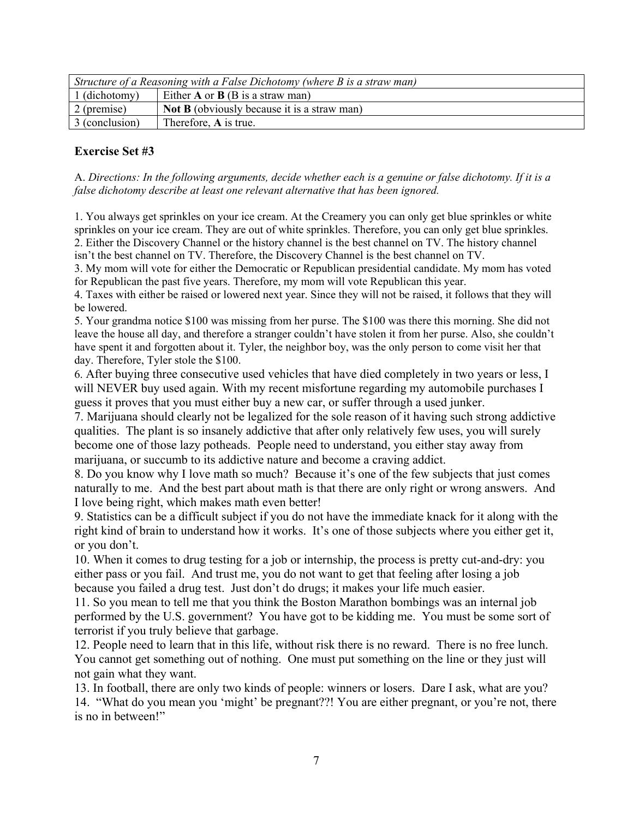| Structure of a Reasoning with a False Dichotomy (where $B$ is a straw man) |                                                    |
|----------------------------------------------------------------------------|----------------------------------------------------|
| $\vert$ 1 (dichotomy)                                                      | Either $A$ or $B$ (B is a straw man)               |
| $\vert$ 2 (premise)                                                        | <b>Not B</b> (obviously because it is a straw man) |
| 3 (conclusion)                                                             | Therefore, A is true.                              |

# **Exercise Set #3**

A. *Directions: In the following arguments, decide whether each is a genuine or false dichotomy. If it is a false dichotomy describe at least one relevant alternative that has been ignored.*

1. You always get sprinkles on your ice cream. At the Creamery you can only get blue sprinkles or white sprinkles on your ice cream. They are out of white sprinkles. Therefore, you can only get blue sprinkles. 2. Either the Discovery Channel or the history channel is the best channel on TV. The history channel isn't the best channel on TV. Therefore, the Discovery Channel is the best channel on TV.

3. My mom will vote for either the Democratic or Republican presidential candidate. My mom has voted for Republican the past five years. Therefore, my mom will vote Republican this year.

4. Taxes with either be raised or lowered next year. Since they will not be raised, it follows that they will be lowered.

5. Your grandma notice \$100 was missing from her purse. The \$100 was there this morning. She did not leave the house all day, and therefore a stranger couldn't have stolen it from her purse. Also, she couldn't have spent it and forgotten about it. Tyler, the neighbor boy, was the only person to come visit her that day. Therefore, Tyler stole the \$100.

6. After buying three consecutive used vehicles that have died completely in two years or less, I will NEVER buy used again. With my recent misfortune regarding my automobile purchases I guess it proves that you must either buy a new car, or suffer through a used junker.

7. Marijuana should clearly not be legalized for the sole reason of it having such strong addictive qualities. The plant is so insanely addictive that after only relatively few uses, you will surely become one of those lazy potheads. People need to understand, you either stay away from marijuana, or succumb to its addictive nature and become a craving addict.

8. Do you know why I love math so much? Because it's one of the few subjects that just comes naturally to me. And the best part about math is that there are only right or wrong answers. And I love being right, which makes math even better!

9. Statistics can be a difficult subject if you do not have the immediate knack for it along with the right kind of brain to understand how it works. It's one of those subjects where you either get it, or you don't.

10. When it comes to drug testing for a job or internship, the process is pretty cut-and-dry: you either pass or you fail. And trust me, you do not want to get that feeling after losing a job because you failed a drug test. Just don't do drugs; it makes your life much easier.

11. So you mean to tell me that you think the Boston Marathon bombings was an internal job performed by the U.S. government? You have got to be kidding me. You must be some sort of terrorist if you truly believe that garbage.

12. People need to learn that in this life, without risk there is no reward. There is no free lunch. You cannot get something out of nothing. One must put something on the line or they just will not gain what they want.

13. In football, there are only two kinds of people: winners or losers. Dare I ask, what are you? 14. "What do you mean you 'might' be pregnant??! You are either pregnant, or you're not, there is no in between!"